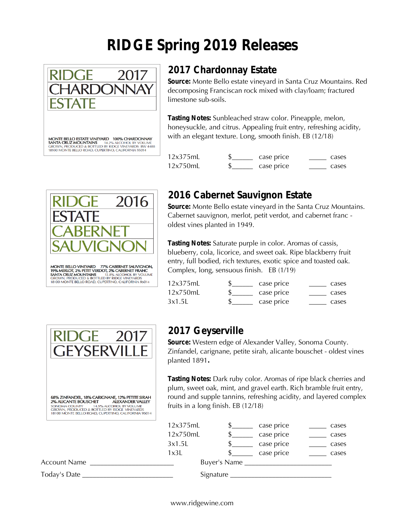# **RIDGE Spring 2019 Releases**



MONTE BELLO ESTATE VINEYARD 100% CHARDONNAY **MONITE BELLU ESTATE VINE TAKU TUOTS CHARDONNAY<br>SANTA CRUZ MOUNTAINS 14.2% ALCOHOL BY VOLUME GROWN, PRODUCED & BOTTLED BY RIDGE VINEYARDS BW 4488<br>18100 MONTE BELLO ROAD, CUPERTINO, CALIFORNIA 95014** 

### **2017 Chardonnay Estate**

**Source:** Monte Bello estate vineyard in Santa Cruz Mountains. Red decomposing Franciscan rock mixed with clay/loam; fractured limestone sub-soils.

**Tasting Notes:** Sunbleached straw color. Pineapple, melon, honeysuckle, and citrus. Appealing fruit entry, refreshing acidity, with an elegant texture. Long, smooth finish. EB (12/18)

| 12x375mL | case price | cases |
|----------|------------|-------|
| 12x750mL | case price | cases |



18100 MONTE BELLO ROAD, CUPERTINO, CALIFORNIA 95014

#### **2016 Cabernet Sauvignon Estate**

**Source:** Monte Bello estate vineyard in the Santa Cruz Mountains. Cabernet sauvignon, merlot, petit verdot, and cabernet franc oldest vines planted in 1949.

**Tasting Notes:** Saturate purple in color. Aromas of cassis, blueberry, cola, licorice, and sweet oak. Ripe blackberry fruit entry, full bodied, rich textures, exotic spice and toasted oak. Complex, long, sensuous finish. EB (1/19)

| 12x375mL | case price | cases |
|----------|------------|-------|
| 12x750mL | case price | cases |
| 3x1.5L   | case price | cases |



#### **2017 Geyserville**

**Source:** Western edge of Alexander Valley, Sonoma County. Zinfandel, carignane, petite sirah, alicante bouschet - oldest vines planted 1891**.** 

**Tasting Notes:** Dark ruby color. Aromas of ripe black cherries and plum, sweet oak, mint, and gravel earth. Rich bramble fruit entry, round and supple tannins, refreshing acidity, and layered complex fruits in a long finish. EB (12/18)

|                     | 12x375mL |  |                                          | case price | cases |
|---------------------|----------|--|------------------------------------------|------------|-------|
|                     | 12x750mL |  |                                          | case price | cases |
|                     | 3x1.5L   |  |                                          | case price | cases |
|                     | 1x3L     |  |                                          | case price | cases |
| <b>Account Name</b> |          |  |                                          |            |       |
| Today's Date        |          |  | Signature $\_\_\_\_\_\_\_\_\_\_\_\_\_\_$ |            |       |